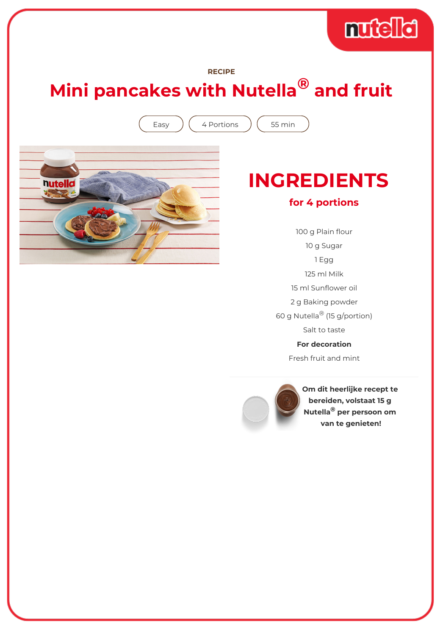## muddid

#### **RECIPE**

# **Mini pancakes with Nutella® and fruit**

Easy  $(4$  Portions  $(55$  min



### **INGREDIENTS**

#### **for 4 portions**

100 g Plain flour 10 g Sugar 1 Egg 125 ml Milk 15 ml Sunflower oil 2 g Baking powder 60 g Nutella® (15 g/portion) Salt to taste **For decoration** Fresh fruit and mint



**Om dit heerlijke recept te bereiden, volstaat 15 g Nutella® per persoon om van te genieten!**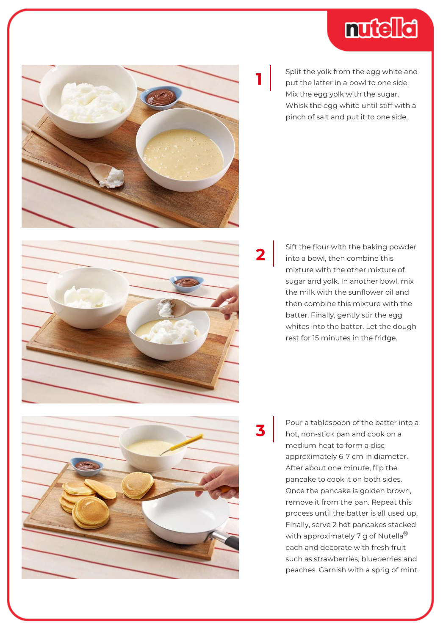



Split the yolk from the egg white and put the latter in a bowl to one side. Mix the egg yolk with the sugar. Whisk the egg white until stiff with a pinch of salt and put it to one side.



Sift the flour with the baking powder into a bowl, then combine this mixture with the other mixture of sugar and yolk. In another bowl, mix the milk with the sunflower oil and then combine this mixture with the batter. Finally, gently stir the egg whites into the batter. Let the dough rest for 15 minutes in the fridge.

**3**

**2**

Pour a tablespoon of the batter into a hot, non-stick pan and cook on a medium heat to form a disc approximately 6-7 cm in diameter. After about one minute, flip the pancake to cook it on both sides. Once the pancake is golden brown, remove it from the pan. Repeat this process until the batter is all used up. Finally, serve 2 hot pancakes stacked with approximately 7 g of Nutella<sup>®</sup> each and decorate with fresh fruit such as strawberries, blueberries and peaches. Garnish with a sprig of mint.